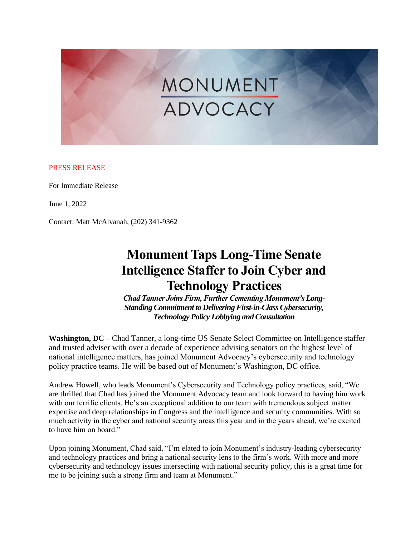# MONUMENT

## PRESS RELEASE

For Immediate Release

June 1, 2022

Contact: Matt McAlvanah, (202) 341-9362

## **Monument Taps Long-Time Senate Intelligence Staffer to Join Cyber and Technology Practices**

*Chad Tanner Joins Firm, Further Cementing Monument's Long-Standing Commitment to Delivering First-in-Class Cybersecurity, Technology Policy Lobbying and Consultation*

**Washington, DC –** Chad Tanner, a long-time US Senate Select Committee on Intelligence staffer and trusted adviser with over a decade of experience advising senators on the highest level of national intelligence matters, has joined Monument Advocacy's cybersecurity and technology policy practice teams. He will be based out of Monument's Washington, DC office.

Andrew Howell, who leads Monument's Cybersecurity and Technology policy practices, said, "We are thrilled that Chad has joined the Monument Advocacy team and look forward to having him work with our terrific clients. He's an exceptional addition to our team with tremendous subject matter expertise and deep relationships in Congress and the intelligence and security communities. With so much activity in the cyber and national security areas this year and in the years ahead, we're excited to have him on board."

Upon joining Monument, Chad said, "I'm elated to join Monument's industry-leading cybersecurity and technology practices and bring a national security lens to the firm's work. With more and more cybersecurity and technology issues intersecting with national security policy, this is a great time for me to be joining such a strong firm and team at Monument."